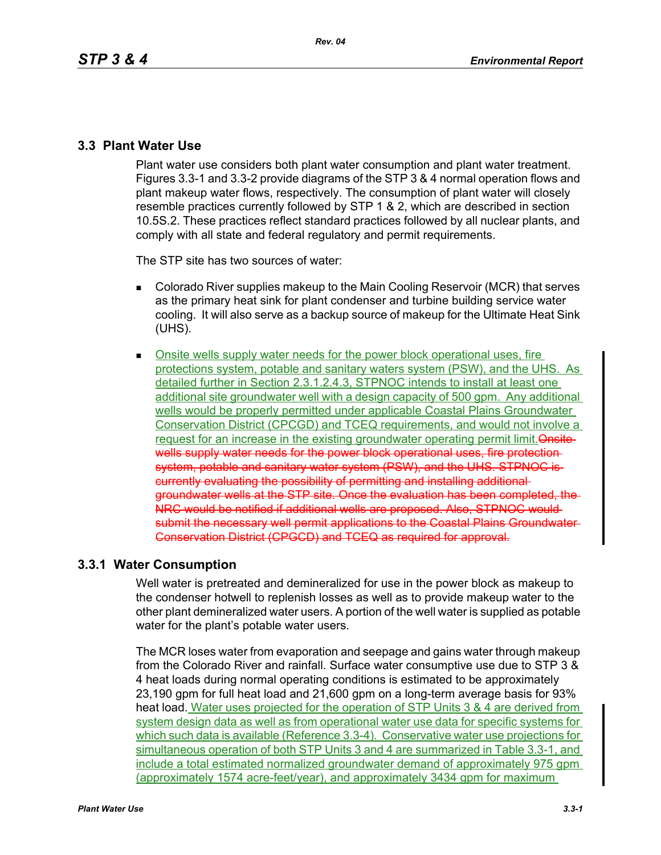## **3.3 Plant Water Use**

Plant water use considers both plant water consumption and plant water treatment. Figures 3.3-1 and 3.3-2 provide diagrams of the STP 3 & 4 normal operation flows and plant makeup water flows, respectively. The consumption of plant water will closely resemble practices currently followed by STP 1 & 2, which are described in section 10.5S.2. These practices reflect standard practices followed by all nuclear plants, and comply with all state and federal regulatory and permit requirements.

The STP site has two sources of water:

- Colorado River supplies makeup to the Main Cooling Reservoir (MCR) that serves as the primary heat sink for plant condenser and turbine building service water cooling. It will also serve as a backup source of makeup for the Ultimate Heat Sink (UHS).
- **Discuss** Onsite wells supply water needs for the power block operational uses, fire protections system, potable and sanitary waters system (PSW), and the UHS. As detailed further in Section 2.3.1.2.4.3, STPNOC intends to install at least one additional site groundwater well with a design capacity of 500 gpm. Any additional wells would be properly permitted under applicable Coastal Plains Groundwater Conservation District (CPCGD) and TCEQ requirements, and would not involve a request for an increase in the existing groundwater operating permit limit. Onsitewells supply water needs for the power block operational uses, fire protectionsystem, potable and sanitary water system (PSW), and the UHS. STPNOC is currently evaluating the possibility of permitting and installing additional groundwater wells at the STP site. Once the evaluation has been completed, the NRC would be notified if additional wells are proposed. Also, STPNOC would submit the necessary well permit applications to the Coastal Plains Groundwater Conservation District (CPGCD) and TCEQ as required for approval.

# **3.3.1 Water Consumption**

Well water is pretreated and demineralized for use in the power block as makeup to the condenser hotwell to replenish losses as well as to provide makeup water to the other plant demineralized water users. A portion of the well water is supplied as potable water for the plant's potable water users.

The MCR loses water from evaporation and seepage and gains water through makeup from the Colorado River and rainfall. Surface water consumptive use due to STP 3 & 4 heat loads during normal operating conditions is estimated to be approximately 23,190 gpm for full heat load and 21,600 gpm on a long-term average basis for 93% heat load. Water uses projected for the operation of STP Units 3 & 4 are derived from system design data as well as from operational water use data for specific systems for which such data is available (Reference 3.3-4). Conservative water use projections for simultaneous operation of both STP Units 3 and 4 are summarized in Table 3.3-1, and include a total estimated normalized groundwater demand of approximately 975 gpm (approximately 1574 acre-feet/year), and approximately 3434 gpm for maximum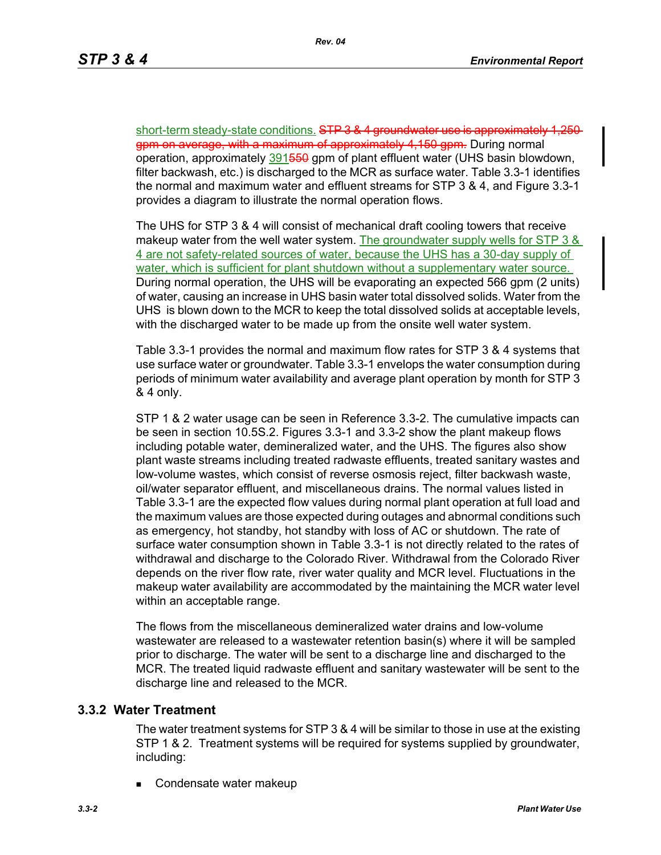short-term steady-state conditions. STP 3 & 4 groundwater use is approximately gpm on average, with a maximum of approximately 4,150 gpm. During normal operation, approximately 391550 gpm of plant effluent water (UHS basin blowdown, filter backwash, etc.) is discharged to the MCR as surface water. Table 3.3-1 identifies the normal and maximum water and effluent streams for STP 3 & 4, and Figure 3.3-1 provides a diagram to illustrate the normal operation flows.

The UHS for STP 3 & 4 will consist of mechanical draft cooling towers that receive makeup water from the well water system. The groundwater supply wells for STP 3 & 4 are not safety-related sources of water, because the UHS has a 30-day supply of water, which is sufficient for plant shutdown without a supplementary water source. During normal operation, the UHS will be evaporating an expected 566 gpm (2 units) of water, causing an increase in UHS basin water total dissolved solids. Water from the UHS is blown down to the MCR to keep the total dissolved solids at acceptable levels, with the discharged water to be made up from the onsite well water system.

Table 3.3-1 provides the normal and maximum flow rates for STP 3 & 4 systems that use surface water or groundwater. Table 3.3-1 envelops the water consumption during periods of minimum water availability and average plant operation by month for STP 3 & 4 only.

STP 1 & 2 water usage can be seen in Reference 3.3-2. The cumulative impacts can be seen in section 10.5S.2. Figures 3.3-1 and 3.3-2 show the plant makeup flows including potable water, demineralized water, and the UHS. The figures also show plant waste streams including treated radwaste effluents, treated sanitary wastes and low-volume wastes, which consist of reverse osmosis reject, filter backwash waste, oil/water separator effluent, and miscellaneous drains. The normal values listed in Table 3.3-1 are the expected flow values during normal plant operation at full load and the maximum values are those expected during outages and abnormal conditions such as emergency, hot standby, hot standby with loss of AC or shutdown. The rate of surface water consumption shown in Table 3.3-1 is not directly related to the rates of withdrawal and discharge to the Colorado River. Withdrawal from the Colorado River depends on the river flow rate, river water quality and MCR level. Fluctuations in the makeup water availability are accommodated by the maintaining the MCR water level within an acceptable range.

The flows from the miscellaneous demineralized water drains and low-volume wastewater are released to a wastewater retention basin(s) where it will be sampled prior to discharge. The water will be sent to a discharge line and discharged to the MCR. The treated liquid radwaste effluent and sanitary wastewater will be sent to the discharge line and released to the MCR.

## **3.3.2 Water Treatment**

The water treatment systems for STP 3 & 4 will be similar to those in use at the existing STP 1 & 2. Treatment systems will be required for systems supplied by groundwater, including:

Condensate water makeup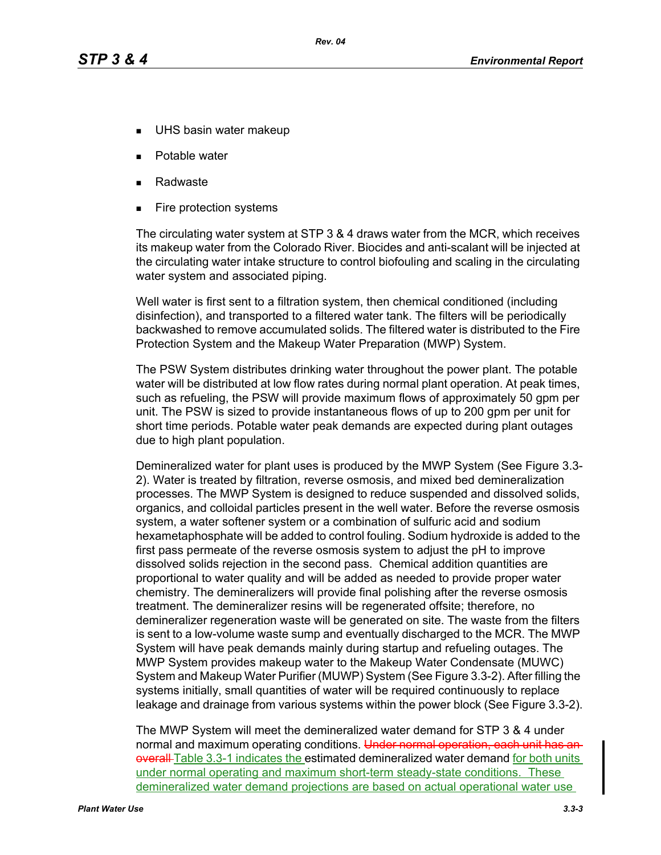- UHS basin water makeup
- Potable water
- Radwaste
- Fire protection systems

The circulating water system at STP 3 & 4 draws water from the MCR, which receives its makeup water from the Colorado River. Biocides and anti-scalant will be injected at the circulating water intake structure to control biofouling and scaling in the circulating water system and associated piping.

Well water is first sent to a filtration system, then chemical conditioned (including disinfection), and transported to a filtered water tank. The filters will be periodically backwashed to remove accumulated solids. The filtered water is distributed to the Fire Protection System and the Makeup Water Preparation (MWP) System.

The PSW System distributes drinking water throughout the power plant. The potable water will be distributed at low flow rates during normal plant operation. At peak times, such as refueling, the PSW will provide maximum flows of approximately 50 gpm per unit. The PSW is sized to provide instantaneous flows of up to 200 gpm per unit for short time periods. Potable water peak demands are expected during plant outages due to high plant population.

Demineralized water for plant uses is produced by the MWP System (See Figure 3.3- 2). Water is treated by filtration, reverse osmosis, and mixed bed demineralization processes. The MWP System is designed to reduce suspended and dissolved solids, organics, and colloidal particles present in the well water. Before the reverse osmosis system, a water softener system or a combination of sulfuric acid and sodium hexametaphosphate will be added to control fouling. Sodium hydroxide is added to the first pass permeate of the reverse osmosis system to adjust the pH to improve dissolved solids rejection in the second pass. Chemical addition quantities are proportional to water quality and will be added as needed to provide proper water chemistry. The demineralizers will provide final polishing after the reverse osmosis treatment. The demineralizer resins will be regenerated offsite; therefore, no demineralizer regeneration waste will be generated on site. The waste from the filters is sent to a low-volume waste sump and eventually discharged to the MCR. The MWP System will have peak demands mainly during startup and refueling outages. The MWP System provides makeup water to the Makeup Water Condensate (MUWC) System and Makeup Water Purifier (MUWP) System (See Figure 3.3-2). After filling the systems initially, small quantities of water will be required continuously to replace leakage and drainage from various systems within the power block (See Figure 3.3-2).

The MWP System will meet the demineralized water demand for STP 3 & 4 under normal and maximum operating conditions. Under normal operation, each unit has an overall-Table 3.3-1 indicates the estimated demineralized water demand for both units under normal operating and maximum short-term steady-state conditions. These demineralized water demand projections are based on actual operational water use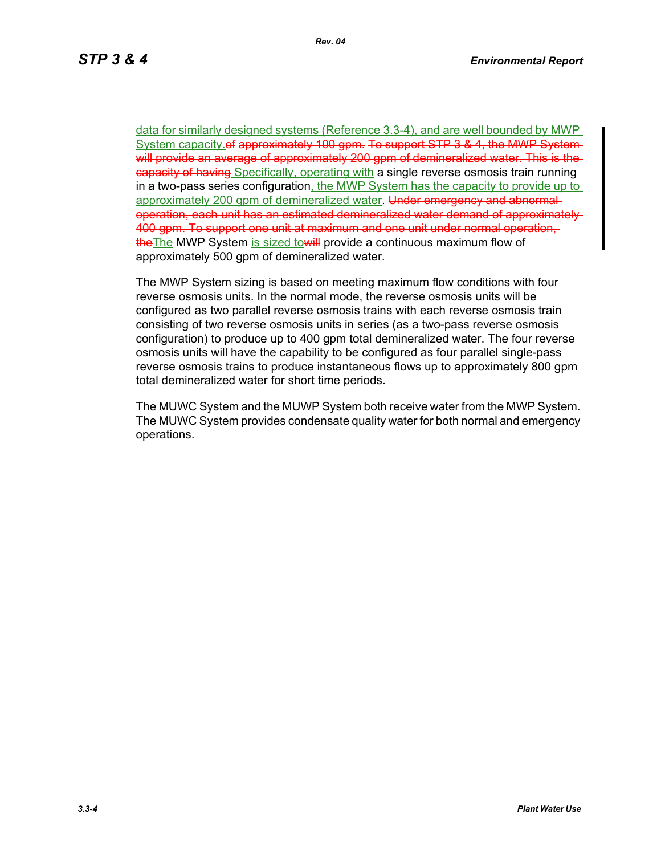data for similarly designed systems (Reference 3.3-4), and are well bounded by MWP System capacity.of approximately 100 gpm. To support STP 3 & 4, the MWP Systemwill provide an average of approximately 200 gpm of demineralized water. This is the eapacity of having Specifically, operating with a single reverse osmosis train running in a two-pass series configuration, the MWP System has the capacity to provide up to approximately 200 gpm of demineralized water. Under emergency and abnormaloperation, each unit has an estimated demineralized water demand of approximately 400 gpm. To support one unit at maximum and one unit under normal operation, the The MWP System is sized to will provide a continuous maximum flow of approximately 500 gpm of demineralized water.

The MWP System sizing is based on meeting maximum flow conditions with four reverse osmosis units. In the normal mode, the reverse osmosis units will be configured as two parallel reverse osmosis trains with each reverse osmosis train consisting of two reverse osmosis units in series (as a two-pass reverse osmosis configuration) to produce up to 400 gpm total demineralized water. The four reverse osmosis units will have the capability to be configured as four parallel single-pass reverse osmosis trains to produce instantaneous flows up to approximately 800 gpm total demineralized water for short time periods.

The MUWC System and the MUWP System both receive water from the MWP System. The MUWC System provides condensate quality water for both normal and emergency operations.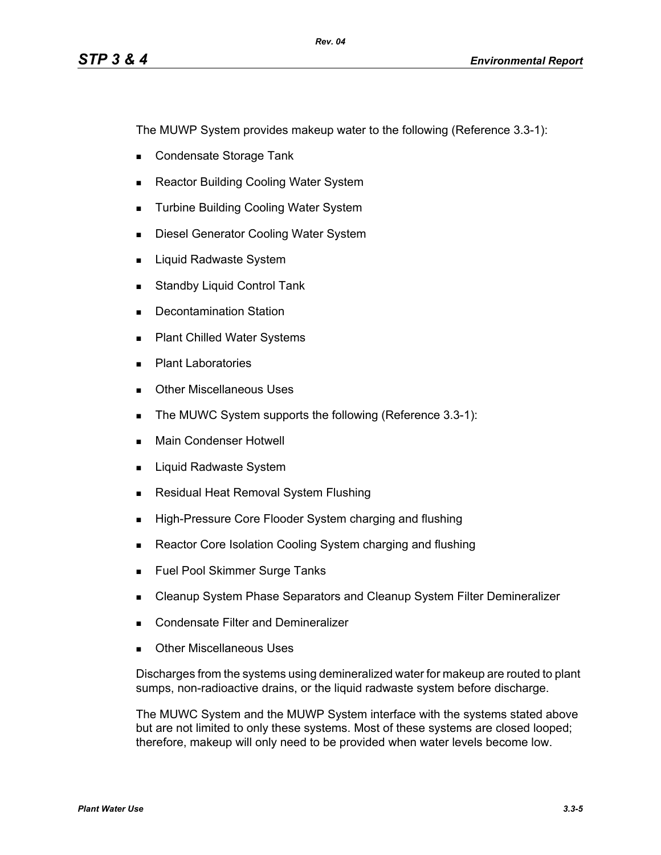The MUWP System provides makeup water to the following (Reference 3.3-1):

- Condensate Storage Tank
- Reactor Building Cooling Water System
- **Turbine Building Cooling Water System**
- **Diesel Generator Cooling Water System**
- **Liquid Radwaste System**
- **Standby Liquid Control Tank**
- Decontamination Station
- **Plant Chilled Water Systems**
- **Plant Laboratories**
- **Dubber Miscellaneous Uses**
- The MUWC System supports the following (Reference 3.3-1):
- **Main Condenser Hotwell**
- **Liquid Radwaste System**
- **Residual Heat Removal System Flushing**
- **High-Pressure Core Flooder System charging and flushing**
- Reactor Core Isolation Cooling System charging and flushing
- **Fuel Pool Skimmer Surge Tanks**
- **EXEC** Cleanup System Phase Separators and Cleanup System Filter Demineralizer
- **Condensate Filter and Demineralizer**
- Other Miscellaneous Uses

Discharges from the systems using demineralized water for makeup are routed to plant sumps, non-radioactive drains, or the liquid radwaste system before discharge.

The MUWC System and the MUWP System interface with the systems stated above but are not limited to only these systems. Most of these systems are closed looped; therefore, makeup will only need to be provided when water levels become low.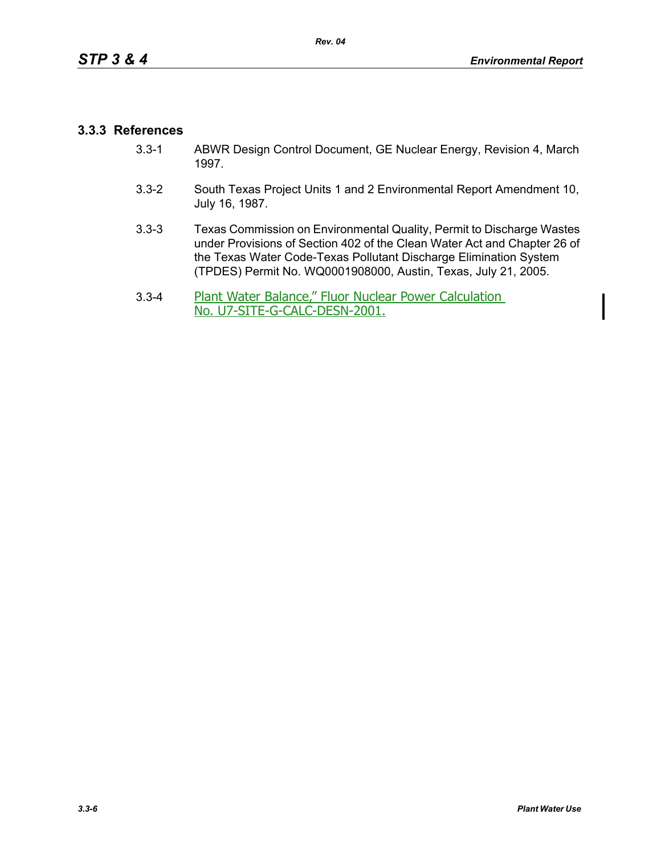# **3.3.3 References**

- 3.3-1 ABWR Design Control Document, GE Nuclear Energy, Revision 4, March 1997.
- 3.3-2 South Texas Project Units 1 and 2 Environmental Report Amendment 10, July 16, 1987.
- 3.3-3 Texas Commission on Environmental Quality, Permit to Discharge Wastes under Provisions of Section 402 of the Clean Water Act and Chapter 26 of the Texas Water Code-Texas Pollutant Discharge Elimination System (TPDES) Permit No. WQ0001908000, Austin, Texas, July 21, 2005.
- 3.3-4 Plant Water Balance," Fluor Nuclear Power Calculation No. U7-SITE-G-CALC-DESN-2001.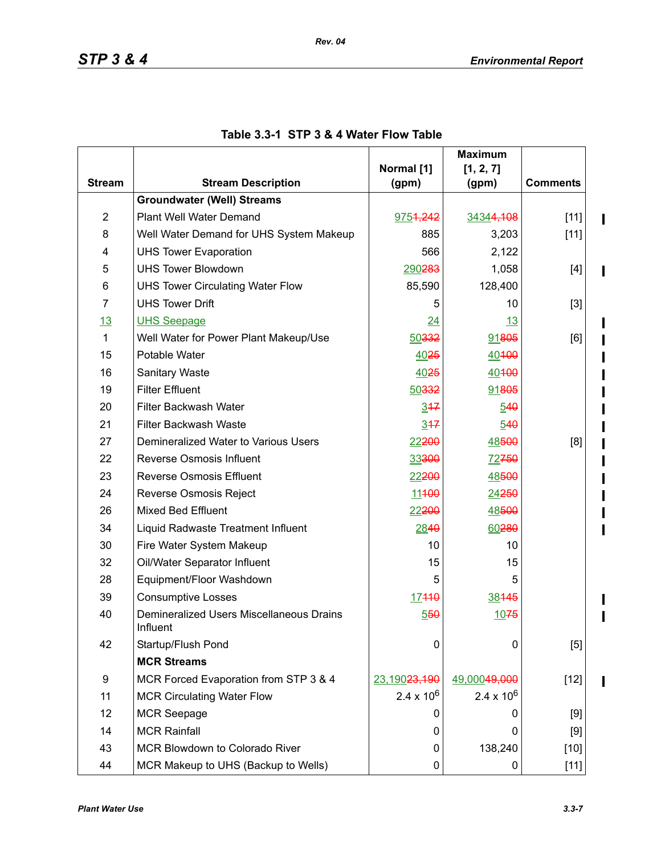$\mathbf{I}$ 

 $\blacksquare$ 

 $\mathbf I$ 

 $\blacksquare$  $\blacksquare$ 

 $\mathbf I$ 

|                |                                                                     |                     | <b>Maximum</b>      |                 |
|----------------|---------------------------------------------------------------------|---------------------|---------------------|-----------------|
|                |                                                                     | Normal [1]          | [1, 2, 7]           |                 |
| <b>Stream</b>  | <b>Stream Description</b>                                           | (gpm)               | (gpm)               | <b>Comments</b> |
|                | <b>Groundwater (Well) Streams</b>                                   |                     |                     |                 |
| $\overline{2}$ | Plant Well Water Demand                                             | 9754,242            | 34344,108           | $[11]$          |
| 8              | Well Water Demand for UHS System Makeup                             | 885                 | 3,203               | $[11]$          |
| 4              | <b>UHS Tower Evaporation</b>                                        | 566                 | 2,122               |                 |
| 5              | <b>UHS Tower Blowdown</b><br>1,058<br>290283                        |                     | $[4]$               |                 |
| 6              | <b>UHS Tower Circulating Water Flow</b>                             | 85,590              | 128,400             |                 |
| $\overline{7}$ | <b>UHS Tower Drift</b>                                              | 5                   | 10                  | $[3]$           |
| 13             | <b>UHS Seepage</b>                                                  | 24<br><u>13</u>     |                     |                 |
| 1              | Well Water for Power Plant Makeup/Use                               | 50332               | 91805               | [6]             |
| 15             | Potable Water<br>4025<br>40400                                      |                     |                     |                 |
| 16             | Sanitary Waste<br>4025<br>40400                                     |                     |                     |                 |
| 19             | <b>Filter Effluent</b>                                              | 50332               | 91805               |                 |
| 20             | Filter Backwash Water                                               | 347                 | 540                 |                 |
| 21             | <b>Filter Backwash Waste</b>                                        | 347                 | 540                 |                 |
| 27             | Demineralized Water to Various Users                                |                     | 48500               | [8]             |
| 22             | Reverse Osmosis Influent<br>33300                                   |                     | 72750               |                 |
| 23             | <b>Reverse Osmosis Effluent</b>                                     | 22200               | 48500               |                 |
| 24             | Reverse Osmosis Reject<br>11400<br>24250                            |                     |                     |                 |
| 26             | <b>Mixed Bed Effluent</b><br>22200<br>48500                         |                     |                     |                 |
| 34             | 60280<br>Liquid Radwaste Treatment Influent<br>2840                 |                     |                     |                 |
| 30             | 10<br>Fire Water System Makeup<br>10                                |                     |                     |                 |
| 32             | 15<br>Oil/Water Separator Influent                                  |                     | 15                  |                 |
| 28             | 5<br>Equipment/Floor Washdown<br>5                                  |                     |                     |                 |
| 39             | <b>Consumptive Losses</b><br>17440<br>38445                         |                     |                     |                 |
| 40             | Demineralized Users Miscellaneous Drains<br>1075<br>550<br>Influent |                     |                     |                 |
| 42             | Startup/Flush Pond                                                  | 0                   | 0                   | [5]             |
|                | <b>MCR Streams</b>                                                  |                     |                     |                 |
| 9              | MCR Forced Evaporation from STP 3 & 4                               | 23,19023,190        | 49,00049,000        | $[12]$          |
| 11             | <b>MCR Circulating Water Flow</b>                                   | $2.4 \times 10^{6}$ | $2.4 \times 10^{6}$ |                 |
| 12             | <b>MCR Seepage</b>                                                  |                     | O                   | [9]             |
| 14             | <b>MCR Rainfall</b>                                                 | 0                   | 0                   | $[9]$           |
| 43             | MCR Blowdown to Colorado River                                      | 0                   | 138,240             | $[10]$          |
| 44             | MCR Makeup to UHS (Backup to Wells)                                 | 0                   | 0                   | $[11]$          |

# **Table 3.3-1 STP 3 & 4 Water Flow Table**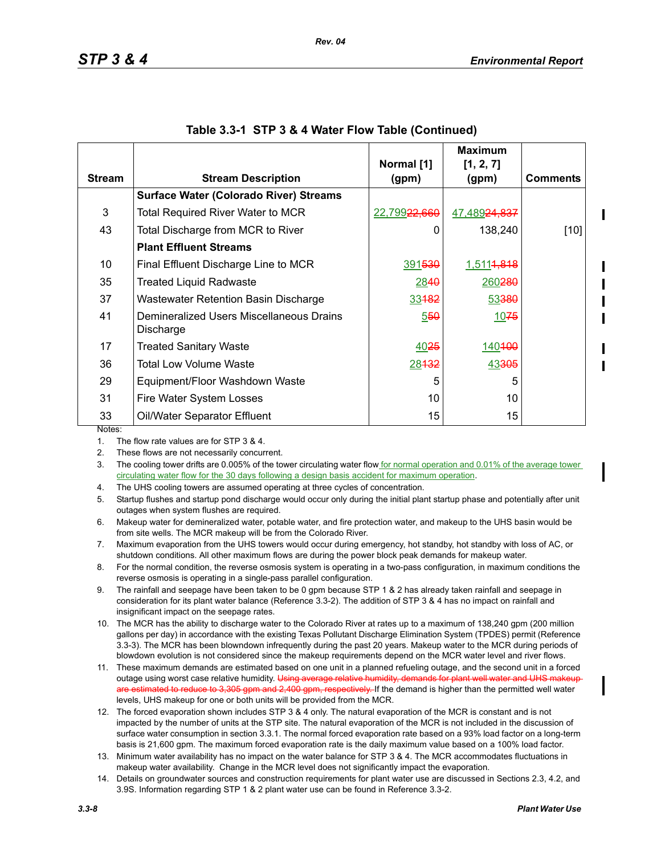|               |                                                       | Normal [1]   | <b>Maximum</b><br>[1, 2, 7] |                 |
|---------------|-------------------------------------------------------|--------------|-----------------------------|-----------------|
| <b>Stream</b> | <b>Stream Description</b>                             | (gpm)        | (gpm)                       | <b>Comments</b> |
|               | <b>Surface Water (Colorado River) Streams</b>         |              |                             |                 |
| 3             | <b>Total Required River Water to MCR</b>              | 22,79922,660 | <u>47,48924,837</u>         |                 |
| 43            | Total Discharge from MCR to River                     | 0            | 138,240                     | $[10]$          |
|               | <b>Plant Effluent Streams</b>                         |              |                             |                 |
| 10            | Final Effluent Discharge Line to MCR                  | 391530       | 1,5114,818                  |                 |
| 35            | <b>Treated Liquid Radwaste</b>                        | 2840         | 260280                      |                 |
| 37            | Wastewater Retention Basin Discharge                  | 33482        | 53380                       |                 |
| 41            | Demineralized Users Miscellaneous Drains<br>Discharge | 550          | 1075                        |                 |
| 17            | <b>Treated Sanitary Waste</b>                         | 4025         | 140400                      |                 |
| 36            | Total Low Volume Waste                                | 28432        | 43305                       |                 |
| 29            | Equipment/Floor Washdown Waste                        | 5            | 5                           |                 |
| 31            | Fire Water System Losses                              | 10           | 10                          |                 |
| 33            | Oil/Water Separator Effluent                          | 15           | 15                          |                 |

|  |  |  | Table 3.3-1 STP 3 & 4 Water Flow Table (Continued) |
|--|--|--|----------------------------------------------------|
|--|--|--|----------------------------------------------------|

1. The flow rate values are for STP 3 & 4.

2. These flows are not necessarily concurrent.

3. The cooling tower drifts are 0.005% of the tower circulating water flow for normal operation and 0.01% of the average tower circulating water flow for the 30 days following a design basis accident for maximum operation.

4. The UHS cooling towers are assumed operating at three cycles of concentration.

5. Startup flushes and startup pond discharge would occur only during the initial plant startup phase and potentially after unit outages when system flushes are required.

6. Makeup water for demineralized water, potable water, and fire protection water, and makeup to the UHS basin would be from site wells. The MCR makeup will be from the Colorado River.

7. Maximum evaporation from the UHS towers would occur during emergency, hot standby, hot standby with loss of AC, or shutdown conditions. All other maximum flows are during the power block peak demands for makeup water.

8. For the normal condition, the reverse osmosis system is operating in a two-pass configuration, in maximum conditions the reverse osmosis is operating in a single-pass parallel configuration.

9. The rainfall and seepage have been taken to be 0 gpm because STP 1 & 2 has already taken rainfall and seepage in consideration for its plant water balance (Reference 3.3-2). The addition of STP 3 & 4 has no impact on rainfall and insignificant impact on the seepage rates.

10. The MCR has the ability to discharge water to the Colorado River at rates up to a maximum of 138,240 gpm (200 million gallons per day) in accordance with the existing Texas Pollutant Discharge Elimination System (TPDES) permit (Reference 3.3-3). The MCR has been blowndown infrequently during the past 20 years. Makeup water to the MCR during periods of blowdown evolution is not considered since the makeup requirements depend on the MCR water level and river flows.

11. These maximum demands are estimated based on one unit in a planned refueling outage, and the second unit in a forced outage using worst case relative humidity. Using average relative humidity, using are estimated to reduce to 3,305 gpm and 2,400 gpm, respectively. If the demand is higher than the permitted well water levels, UHS makeup for one or both units will be provided from the MCR.

12. The forced evaporation shown includes STP 3 & 4 only. The natural evaporation of the MCR is constant and is not impacted by the number of units at the STP site. The natural evaporation of the MCR is not included in the discussion of surface water consumption in section 3.3.1. The normal forced evaporation rate based on a 93% load factor on a long-term basis is 21,600 gpm. The maximum forced evaporation rate is the daily maximum value based on a 100% load factor.

13. Minimum water availability has no impact on the water balance for STP 3 & 4. The MCR accommodates fluctuations in makeup water availability. Change in the MCR level does not significantly impact the evaporation.

14. Details on groundwater sources and construction requirements for plant water use are discussed in Sections 2.3, 4.2, and 3.9S. Information regarding STP 1 & 2 plant water use can be found in Reference 3.3-2.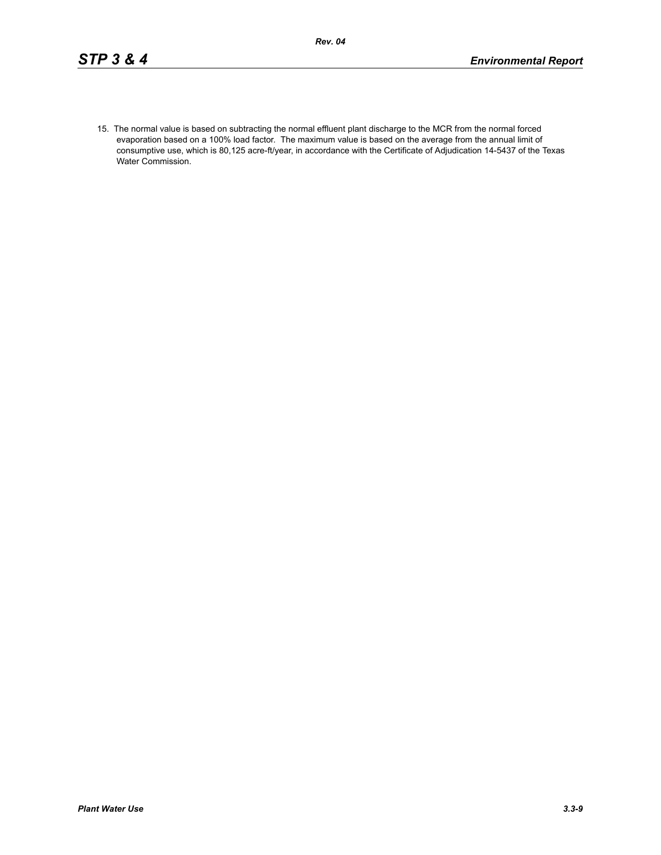15. The normal value is based on subtracting the normal effluent plant discharge to the MCR from the normal forced evaporation based on a 100% load factor. The maximum value is based on the average from the annual limit of consumptive use, which is 80,125 acre-ft/year, in accordance with the Certificate of Adjudication 14-5437 of the Texas Water Commission.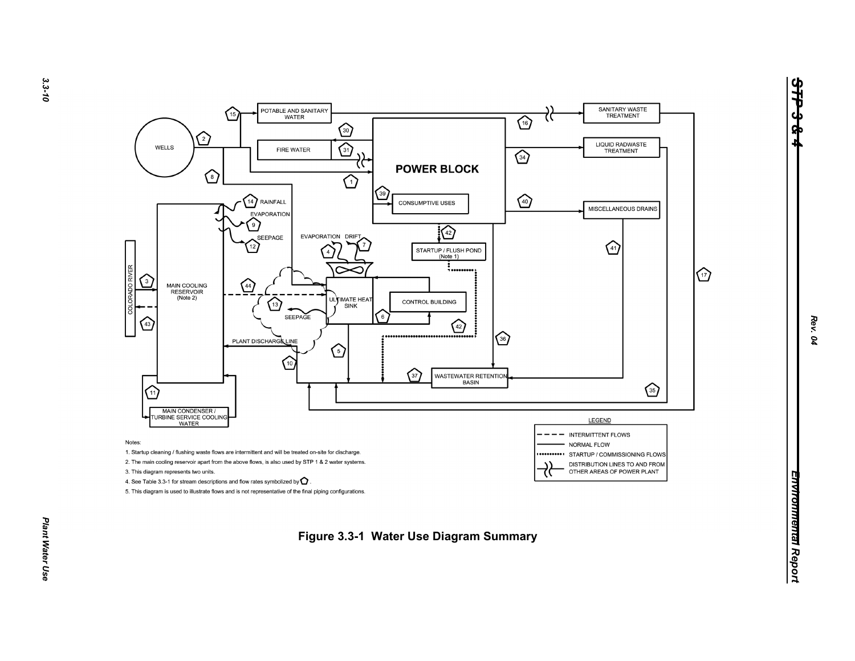